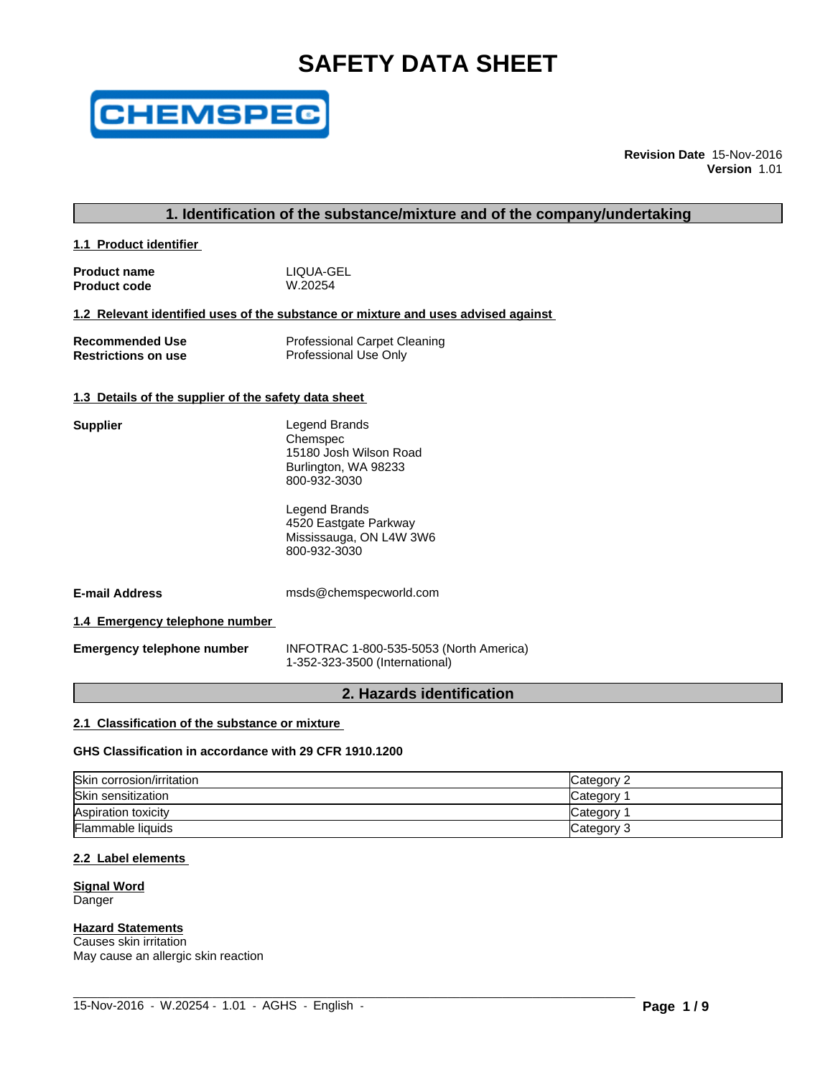# **SAFETY DATA SHEET**



**Revision Date** 15-Nov-2016 **Version** 1.01

# **1. Identification of the substance/mixture and of the company/undertaking**

**1.1 Product identifier** 

**Product name** The LIQUA-GEL<br> **Product code** The M.20254 **Product code** 

#### **1.2 Relevant identified uses of the substance or mixture and uses advised against**

| <b>Recommended Use</b>     | <b>Professional Carpet Cleaning</b> |
|----------------------------|-------------------------------------|
| <b>Restrictions on use</b> | Professional Use Only               |

#### **1.3 Details of the supplier of the safety data sheet**

| Supplier | Legend Brands                      |
|----------|------------------------------------|
|          | Chemspec<br>15180 Josh Wilson Road |
|          | Burlington, WA 98233               |
|          | 800-932-3030                       |

Legend Brands 4520 Eastgate Parkway Mississauga, ON L4W 3W6 800-932-3030

**E-mail Address** msds@chemspecworld.com

**1.4 Emergency telephone number** 

**Emergency telephone number** INFOTRAC 1-800-535-5053 (North America) 1-352-323-3500 (International)

# **2. Hazards identification**

#### **2.1 Classification of the substance or mixture**

**GHS Classification in accordance with 29 CFR 1910.1200**

| Skin corrosion/irritation | Category 2 |
|---------------------------|------------|
| Skin sensitization        | Category   |
| Aspiration toxicity       | Category   |
| Flammable liquids         | Category 3 |

 $\_$  ,  $\_$  ,  $\_$  ,  $\_$  ,  $\_$  ,  $\_$  ,  $\_$  ,  $\_$  ,  $\_$  ,  $\_$  ,  $\_$  ,  $\_$  ,  $\_$  ,  $\_$  ,  $\_$  ,  $\_$  ,  $\_$  ,  $\_$  ,  $\_$  ,  $\_$  ,  $\_$  ,  $\_$  ,  $\_$  ,  $\_$  ,  $\_$  ,  $\_$  ,  $\_$  ,  $\_$  ,  $\_$  ,  $\_$  ,  $\_$  ,  $\_$  ,  $\_$  ,  $\_$  ,  $\_$  ,  $\_$  ,  $\_$  ,

#### **2.2 Label elements**

#### **Signal Word** Danger

# **Hazard Statements**

Causes skin irritation May cause an allergic skin reaction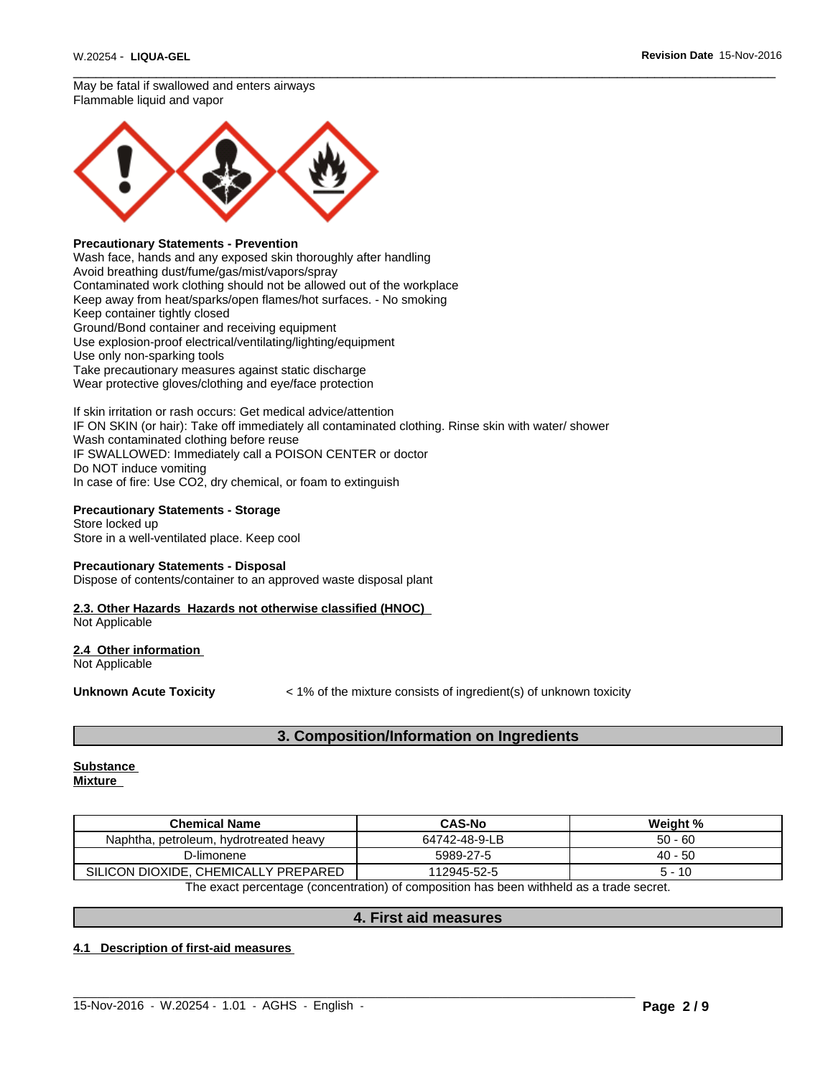$\overline{\phantom{a}}$  ,  $\overline{\phantom{a}}$  ,  $\overline{\phantom{a}}$  ,  $\overline{\phantom{a}}$  ,  $\overline{\phantom{a}}$  ,  $\overline{\phantom{a}}$  ,  $\overline{\phantom{a}}$  ,  $\overline{\phantom{a}}$  ,  $\overline{\phantom{a}}$  ,  $\overline{\phantom{a}}$  ,  $\overline{\phantom{a}}$  ,  $\overline{\phantom{a}}$  ,  $\overline{\phantom{a}}$  ,  $\overline{\phantom{a}}$  ,  $\overline{\phantom{a}}$  ,  $\overline{\phantom{a}}$ May be fatal if swallowed and enters airways Flammable liquid and vapor



#### **Precautionary Statements - Prevention**

Wash face, hands and any exposed skin thoroughly after handling Avoid breathing dust/fume/gas/mist/vapors/spray Contaminated work clothing should not be allowed out of the workplace Keep away from heat/sparks/open flames/hot surfaces. - No smoking Keep container tightly closed Ground/Bond container and receiving equipment Use explosion-proof electrical/ventilating/lighting/equipment Use only non-sparking tools Take precautionary measures against static discharge Wear protective gloves/clothing and eye/face protection

If skin irritation or rash occurs: Get medical advice/attention IF ON SKIN (or hair): Take off immediately all contaminated clothing. Rinse skin with water/ shower Wash contaminated clothing before reuse IF SWALLOWED: Immediately call a POISON CENTER or doctor Do NOT induce vomiting In case of fire: Use CO2, dry chemical, or foam to extinguish

#### **Precautionary Statements - Storage**

Store locked up Store in a well-ventilated place. Keep cool

#### **Precautionary Statements - Disposal**

Dispose of contents/container to an approved waste disposal plant

# **2.3. Other Hazards Hazards not otherwise classified (HNOC)**

Not Applicable

#### **2.4 Other information**  Not Applicable

**Unknown Acute Toxicity**  $\lt$  1% of the mixture consists of ingredient(s) of unknown toxicity

# **3. Composition/Information on Ingredients**

#### **Substance Mixture**

| <b>Chemical Name</b>                      | <b>CAS-No</b> | Weight %  |
|-------------------------------------------|---------------|-----------|
| Naphtha.<br>petroleum, hydrotreated heavy | 64742-48-9-LB | $50 - 60$ |
| D-limonene                                | 5989-27-5     | $40 - 50$ |
| SILICON DIOXIDE, CHEMICALLY PREPARED      | 112945-52-5   | - 10      |

The exact percentage (concentration) of composition has been withheld as a trade secret.

# **4. First aid measures**

 $\_$  ,  $\_$  ,  $\_$  ,  $\_$  ,  $\_$  ,  $\_$  ,  $\_$  ,  $\_$  ,  $\_$  ,  $\_$  ,  $\_$  ,  $\_$  ,  $\_$  ,  $\_$  ,  $\_$  ,  $\_$  ,  $\_$  ,  $\_$  ,  $\_$  ,  $\_$  ,  $\_$  ,  $\_$  ,  $\_$  ,  $\_$  ,  $\_$  ,  $\_$  ,  $\_$  ,  $\_$  ,  $\_$  ,  $\_$  ,  $\_$  ,  $\_$  ,  $\_$  ,  $\_$  ,  $\_$  ,  $\_$  ,  $\_$  ,

### **4.1 Description of first-aid measures**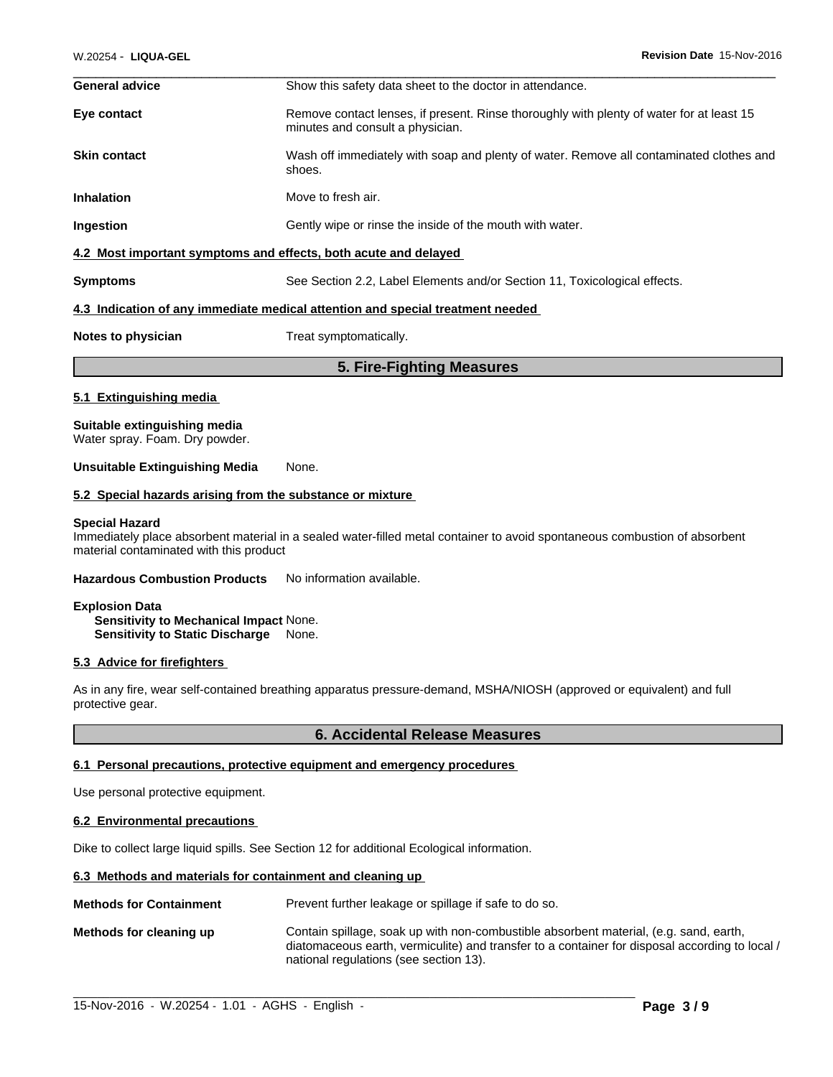| <b>General advice</b> | Show this safety data sheet to the doctor in attendance.                                                                     |
|-----------------------|------------------------------------------------------------------------------------------------------------------------------|
| Eye contact           | Remove contact lenses, if present. Rinse thoroughly with plenty of water for at least 15<br>minutes and consult a physician. |
| <b>Skin contact</b>   | Wash off immediately with soap and plenty of water. Remove all contaminated clothes and<br>shoes.                            |
| <b>Inhalation</b>     | Move to fresh air.                                                                                                           |
| Ingestion             | Gently wipe or rinse the inside of the mouth with water.                                                                     |
|                       | 4.2 Most important symptoms and effects, both acute and delayed                                                              |
| <b>Symptoms</b>       | See Section 2.2, Label Elements and/or Section 11, Toxicological effects.                                                    |
|                       | 4.3 Indication of any immediate medical attention and special treatment needed                                               |
| Notes to physician    | Treat symptomatically.                                                                                                       |

**5. Fire-Fighting Measures**

# **5.1 Extinguishing media**

**Suitable extinguishing media** Water spray. Foam. Dry powder.

#### **Unsuitable Extinguishing Media** None.

#### **5.2 Special hazards arising from the substance or mixture**

#### **Special Hazard**

Immediately place absorbent material in a sealed water-filled metal container to avoid spontaneous combustion of absorbent material contaminated with this product

#### **Hazardous Combustion Products** No information available.

**Explosion Data Sensitivity to Mechanical Impact** None. **Sensitivity to Static Discharge** None.

#### **5.3 Advice for firefighters**

As in any fire, wear self-contained breathing apparatus pressure-demand, MSHA/NIOSH (approved or equivalent) and full protective gear.

#### **6. Accidental Release Measures**

#### **6.1 Personal precautions, protective equipment and emergency procedures**

Use personal protective equipment.

#### **6.2 Environmental precautions**

Dike to collect large liquid spills. See Section 12 for additional Ecological information.

#### **6.3 Methods and materials for containment and cleaning up**

**Methods for Containment** Prevent further leakage or spillage if safe to do so.

**Methods for cleaning up** Contain spillage, soak up with non-combustible absorbent material, (e.g. sand, earth, diatomaceous earth, vermiculite) and transfer to a container for disposal according to local / national regulations (see section 13).

 $\_$  ,  $\_$  ,  $\_$  ,  $\_$  ,  $\_$  ,  $\_$  ,  $\_$  ,  $\_$  ,  $\_$  ,  $\_$  ,  $\_$  ,  $\_$  ,  $\_$  ,  $\_$  ,  $\_$  ,  $\_$  ,  $\_$  ,  $\_$  ,  $\_$  ,  $\_$  ,  $\_$  ,  $\_$  ,  $\_$  ,  $\_$  ,  $\_$  ,  $\_$  ,  $\_$  ,  $\_$  ,  $\_$  ,  $\_$  ,  $\_$  ,  $\_$  ,  $\_$  ,  $\_$  ,  $\_$  ,  $\_$  ,  $\_$  ,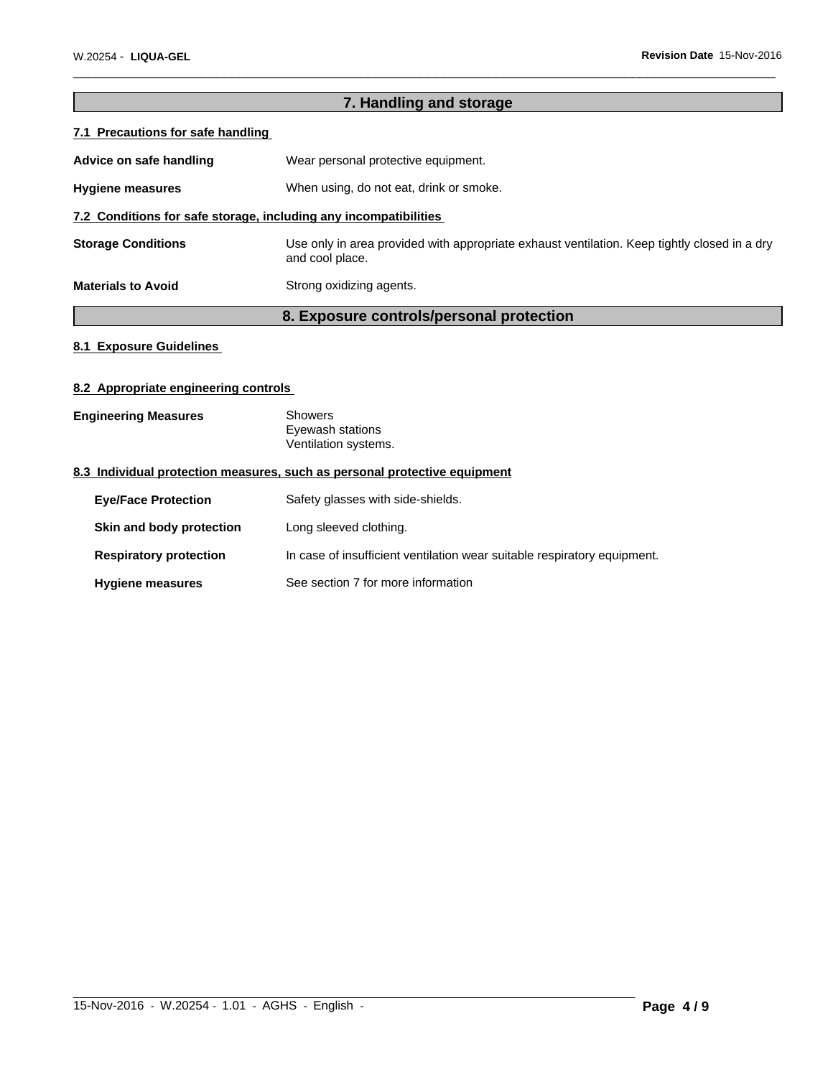| 7. Handling and storage                                          |                                                                                                                 |  |  |  |
|------------------------------------------------------------------|-----------------------------------------------------------------------------------------------------------------|--|--|--|
| 7.1 Precautions for safe handling                                |                                                                                                                 |  |  |  |
| Advice on safe handling                                          | Wear personal protective equipment.                                                                             |  |  |  |
| <b>Hygiene measures</b>                                          | When using, do not eat, drink or smoke.                                                                         |  |  |  |
| 7.2 Conditions for safe storage, including any incompatibilities |                                                                                                                 |  |  |  |
| <b>Storage Conditions</b>                                        | Use only in area provided with appropriate exhaust ventilation. Keep tightly closed in a dry<br>and cool place. |  |  |  |
| <b>Materials to Avoid</b>                                        | Strong oxidizing agents.                                                                                        |  |  |  |
|                                                                  | 8. Exposure controls/personal protection                                                                        |  |  |  |

 $\overline{\phantom{a}}$  ,  $\overline{\phantom{a}}$  ,  $\overline{\phantom{a}}$  ,  $\overline{\phantom{a}}$  ,  $\overline{\phantom{a}}$  ,  $\overline{\phantom{a}}$  ,  $\overline{\phantom{a}}$  ,  $\overline{\phantom{a}}$  ,  $\overline{\phantom{a}}$  ,  $\overline{\phantom{a}}$  ,  $\overline{\phantom{a}}$  ,  $\overline{\phantom{a}}$  ,  $\overline{\phantom{a}}$  ,  $\overline{\phantom{a}}$  ,  $\overline{\phantom{a}}$  ,  $\overline{\phantom{a}}$ 

# **8.1 Exposure Guidelines**

### **8.2 Appropriate engineering controls**

| <b>Engineering Measures</b> | Showers              |  |
|-----------------------------|----------------------|--|
|                             | Eyewash stations     |  |
|                             | Ventilation systems. |  |

# **8.3 Individual protection measures, such as personal protective equipment**

| <b>Eve/Face Protection</b>    | Safety glasses with side-shields.                                        |  |
|-------------------------------|--------------------------------------------------------------------------|--|
| Skin and body protection      | Long sleeved clothing.                                                   |  |
| <b>Respiratory protection</b> | In case of insufficient ventilation wear suitable respiratory equipment. |  |
| <b>Hygiene measures</b>       | See section 7 for more information                                       |  |

 $\_$  ,  $\_$  ,  $\_$  ,  $\_$  ,  $\_$  ,  $\_$  ,  $\_$  ,  $\_$  ,  $\_$  ,  $\_$  ,  $\_$  ,  $\_$  ,  $\_$  ,  $\_$  ,  $\_$  ,  $\_$  ,  $\_$  ,  $\_$  ,  $\_$  ,  $\_$  ,  $\_$  ,  $\_$  ,  $\_$  ,  $\_$  ,  $\_$  ,  $\_$  ,  $\_$  ,  $\_$  ,  $\_$  ,  $\_$  ,  $\_$  ,  $\_$  ,  $\_$  ,  $\_$  ,  $\_$  ,  $\_$  ,  $\_$  ,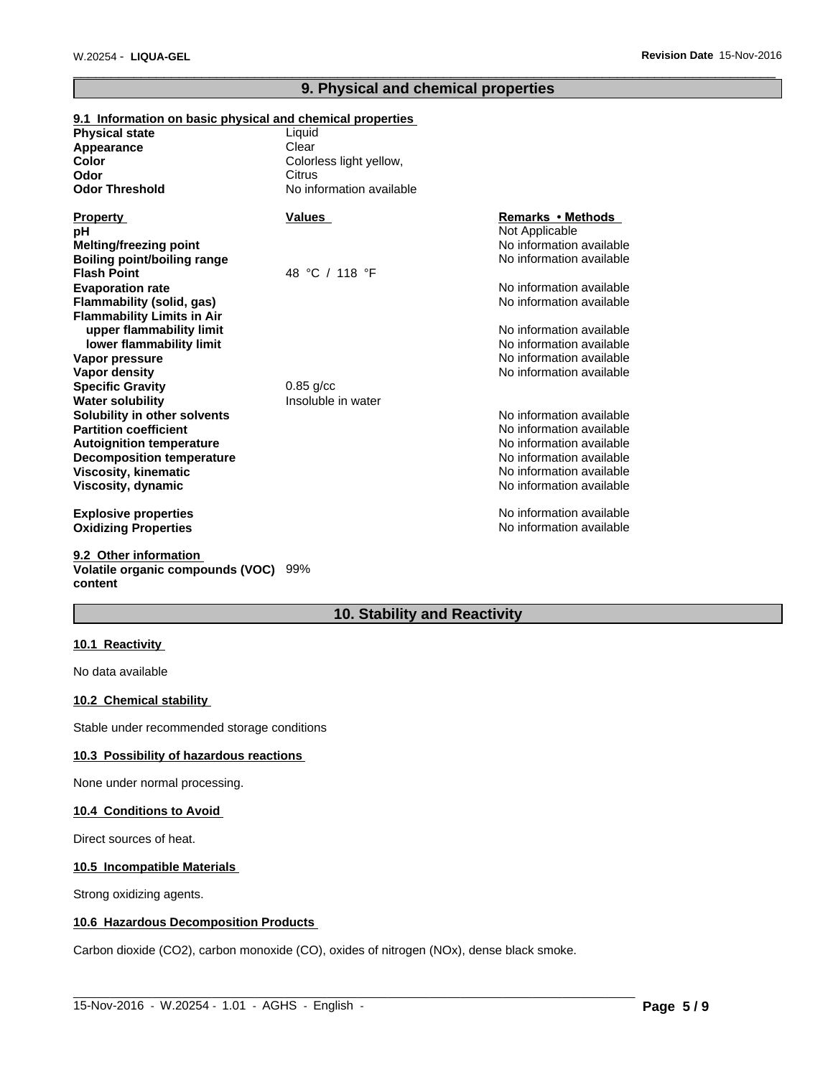### **9. Physical and chemical properties**

 $\overline{\phantom{a}}$  ,  $\overline{\phantom{a}}$  ,  $\overline{\phantom{a}}$  ,  $\overline{\phantom{a}}$  ,  $\overline{\phantom{a}}$  ,  $\overline{\phantom{a}}$  ,  $\overline{\phantom{a}}$  ,  $\overline{\phantom{a}}$  ,  $\overline{\phantom{a}}$  ,  $\overline{\phantom{a}}$  ,  $\overline{\phantom{a}}$  ,  $\overline{\phantom{a}}$  ,  $\overline{\phantom{a}}$  ,  $\overline{\phantom{a}}$  ,  $\overline{\phantom{a}}$  ,  $\overline{\phantom{a}}$ 

#### **9.1 Information on basic physical and chemical properties Physical state** No information available **Decomposition temperature** No information available No information available **Odor Threshold** No information available **Viscosity, kinematic Flash Point** No information available 48 °C / 118 °F **Viscosity, dynamic Color** No information available Colorless light yellow, **Explosive properties Evaporation rate** No information available **Oxidizing Properties No information available No information available** No information available **Flammability (solid, gas) Appearance** No information available **Flammability Limits in Air Property Values upper flammability limit**<br> **lower flammability limit**<br> **lower flammability limit**<br> **lower flammability limit Remarks•Methods lower flammability limit Odor Vapor pressure pH** No information available **Citrus Vapor density No information available No information available** Not Applicable **Specific Gravity** 0.85 g/cc Clear **Melting/freezing point Water solubility Insoluble in water Solubility in other solvents** No information available No information available **Partition coefficient** Noire and Noire and Noire and Noire and Noire and Noire and Noire and Noire and Noire and Noire and Noire and Noire and Noire and Noire and Noire and Noire and Noire and Noire and Noire and Noire an **Boiling point/boiling range Autoignition temperature**

#### **9.2 Other information Volatile organic compounds (VOC)** 99% **content**

# **10. Stability and Reactivity**

 $\_$  ,  $\_$  ,  $\_$  ,  $\_$  ,  $\_$  ,  $\_$  ,  $\_$  ,  $\_$  ,  $\_$  ,  $\_$  ,  $\_$  ,  $\_$  ,  $\_$  ,  $\_$  ,  $\_$  ,  $\_$  ,  $\_$  ,  $\_$  ,  $\_$  ,  $\_$  ,  $\_$  ,  $\_$  ,  $\_$  ,  $\_$  ,  $\_$  ,  $\_$  ,  $\_$  ,  $\_$  ,  $\_$  ,  $\_$  ,  $\_$  ,  $\_$  ,  $\_$  ,  $\_$  ,  $\_$  ,  $\_$  ,  $\_$  ,

#### **10.1 Reactivity**

No data available

#### **10.2 Chemical stability**

Stable under recommended storage conditions

# **10.3 Possibility of hazardous reactions**

None under normal processing.

#### **10.4 Conditions to Avoid**

Direct sources of heat.

#### **10.5 Incompatible Materials**

Strong oxidizing agents.

#### **10.6 Hazardous Decomposition Products**

Carbon dioxide (CO2), carbon monoxide (CO), oxides of nitrogen (NOx), dense black smoke.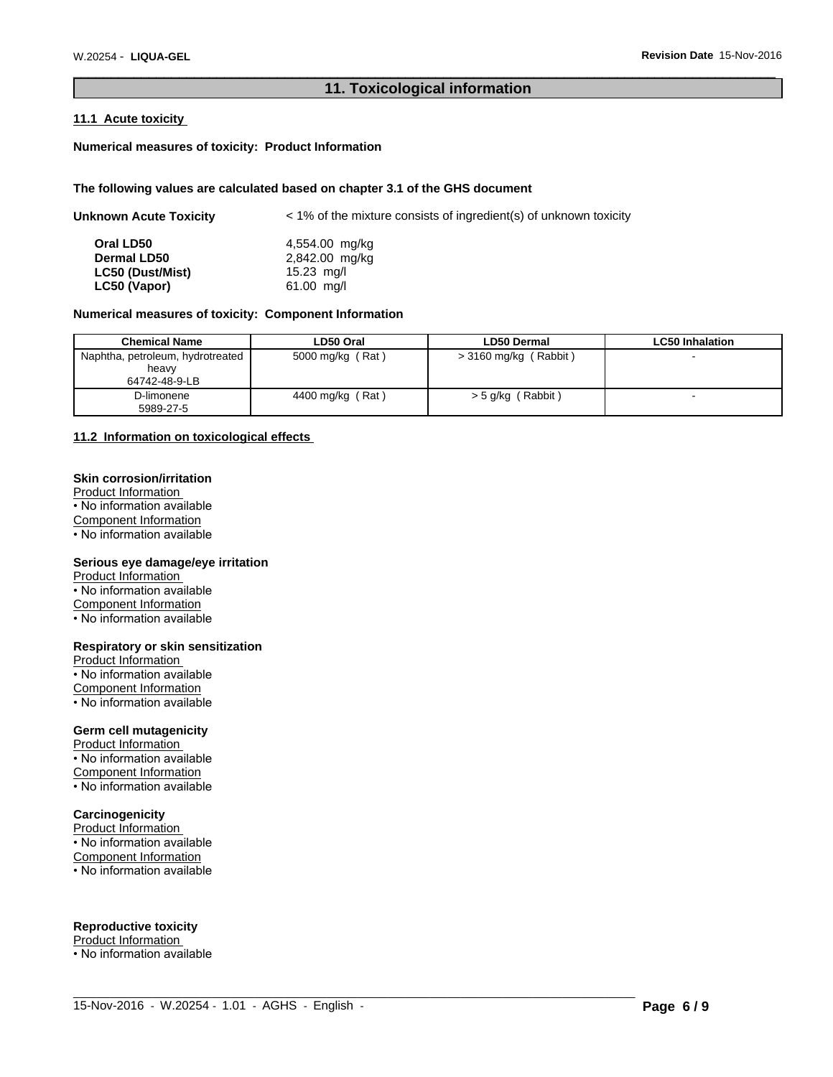# **11. Toxicological information**

 $\overline{\phantom{a}}$  ,  $\overline{\phantom{a}}$  ,  $\overline{\phantom{a}}$  ,  $\overline{\phantom{a}}$  ,  $\overline{\phantom{a}}$  ,  $\overline{\phantom{a}}$  ,  $\overline{\phantom{a}}$  ,  $\overline{\phantom{a}}$  ,  $\overline{\phantom{a}}$  ,  $\overline{\phantom{a}}$  ,  $\overline{\phantom{a}}$  ,  $\overline{\phantom{a}}$  ,  $\overline{\phantom{a}}$  ,  $\overline{\phantom{a}}$  ,  $\overline{\phantom{a}}$  ,  $\overline{\phantom{a}}$ 

#### **11.1 Acute toxicity**

#### **Numerical measures of toxicity: Product Information**

#### **The following values are calculated based on chapter 3.1 of the GHS document**

| <b>Unknown Acute Toxicity</b><br>$\langle$ 1% of the mixture consists of ingredient(s) of unknown toxicity |                |
|------------------------------------------------------------------------------------------------------------|----------------|
| Oral LD50                                                                                                  | 4,554.00 mg/kg |
| <b>Dermal LD50</b>                                                                                         | 2,842.00 mg/kg |
| LC50 (Dust/Mist)                                                                                           | 15.23 mg/l     |
| LC50 (Vapor)                                                                                               | $61.00$ mg/l   |

#### **Numerical measures of toxicity: Component Information**

| <b>Chemical Name</b>                                       | LD50 Oral        | <b>LD50 Dermal</b>       | <b>LC50 Inhalation</b> |
|------------------------------------------------------------|------------------|--------------------------|------------------------|
| Naphtha, petroleum, hydrotreated<br>heavy<br>64742-48-9-LB | 5000 mg/kg (Rat) | > 3160 mg/kg (Rabbit)    |                        |
| D-limonene<br>5989-27-5                                    | 4400 mg/kg (Rat) | (Rabbit)<br>$>$ 5 g/kg ( |                        |

 $\_$  ,  $\_$  ,  $\_$  ,  $\_$  ,  $\_$  ,  $\_$  ,  $\_$  ,  $\_$  ,  $\_$  ,  $\_$  ,  $\_$  ,  $\_$  ,  $\_$  ,  $\_$  ,  $\_$  ,  $\_$  ,  $\_$  ,  $\_$  ,  $\_$  ,  $\_$  ,  $\_$  ,  $\_$  ,  $\_$  ,  $\_$  ,  $\_$  ,  $\_$  ,  $\_$  ,  $\_$  ,  $\_$  ,  $\_$  ,  $\_$  ,  $\_$  ,  $\_$  ,  $\_$  ,  $\_$  ,  $\_$  ,  $\_$  ,

### **11.2 Information on toxicological effects**

#### **Skin corrosion/irritation**

Product Information • No information available Component Information • No information available

#### **Serious eye damage/eye irritation**

Product Information

• No information available

Component Information

• No information available

#### **Respiratory or skin sensitization**

Product Information • No information available Component Information • No information available

#### **Germ cell mutagenicity**

Product Information • No information available Component Information • No information available

#### **Carcinogenicity**

Product Information  $\cdot$  No information available Component Information • No information available

#### **Reproductive toxicity**

Product Information • No information available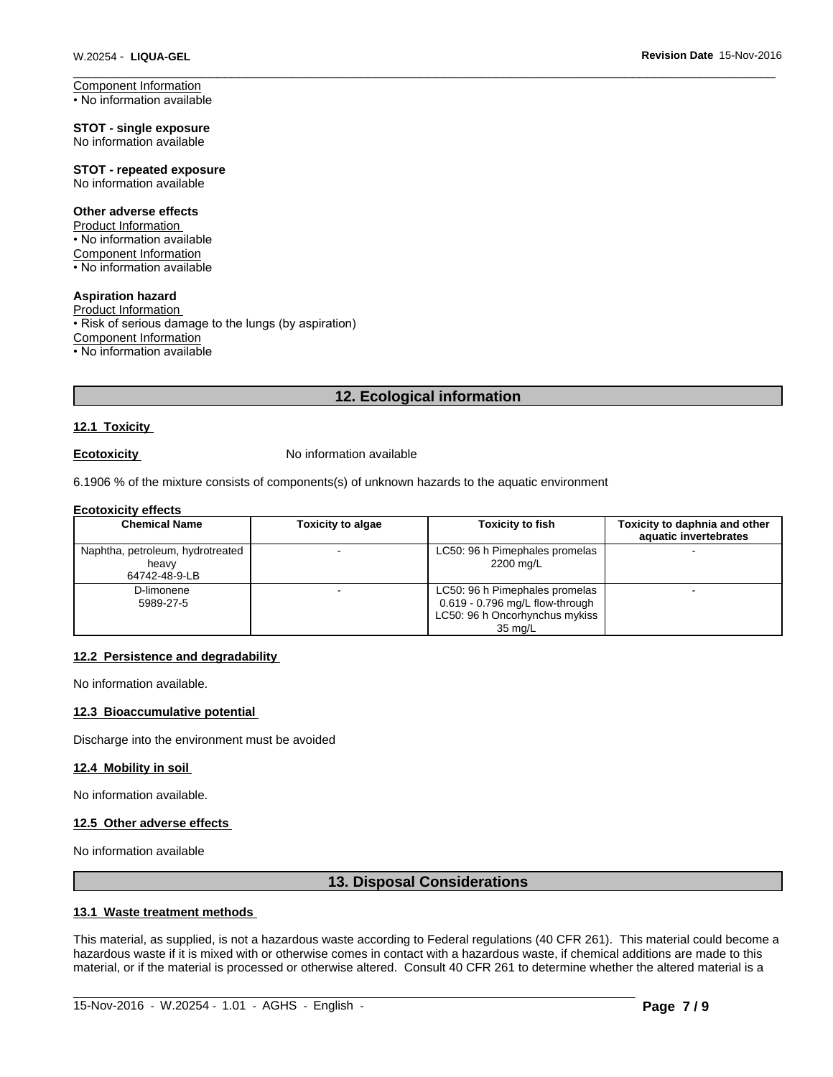Component Information • No information available

**STOT - single exposure** No information available

#### **STOT - repeated exposure** No information available

#### **Other adverse effects**

Product Information • No information available Component Information • No information available

## **Aspiration hazard**

Product Information • Risk of serious damage to the lungs (by aspiration) Component Information • No information available

# **12. Ecological information**

#### **12.1 Toxicity**

**Ecotoxicity No information available** 

6.1906 % of the mixture consists of components(s) of unknown hazards to the aquatic environment

#### **Ecotoxicity effects**

| <b>Chemical Name</b>                                       | <b>Toxicity to algae</b> | <b>Toxicity to fish</b>                                                                                          | Toxicity to daphnia and other<br>aquatic invertebrates |
|------------------------------------------------------------|--------------------------|------------------------------------------------------------------------------------------------------------------|--------------------------------------------------------|
| Naphtha, petroleum, hydrotreated<br>heavv<br>64742-48-9-LB |                          | LC50: 96 h Pimephales promelas<br>2200 mg/L                                                                      |                                                        |
| D-limonene<br>5989-27-5                                    |                          | LC50: 96 h Pimephales promelas<br>$0.619 - 0.796$ mg/L flow-through<br>LC50: 96 h Oncorhynchus mykiss<br>35 ma/L |                                                        |

#### **12.2 Persistence and degradability**

No information available.

#### **12.3 Bioaccumulative potential**

Discharge into the environment must be avoided

#### **12.4 Mobility in soil**

No information available.

# **12.5 Other adverse effects**

No information available

# **13. Disposal Considerations**

#### **13.1 Waste treatment methods**

This material, as supplied, is not a hazardous waste according to Federal regulations (40 CFR 261). This material could become a hazardous waste if it is mixed with or otherwise comes in contact with a hazardous waste, if chemical additions are made to this material, or if the material is processed or otherwise altered. Consult 40 CFR 261 to determine whether the altered material is a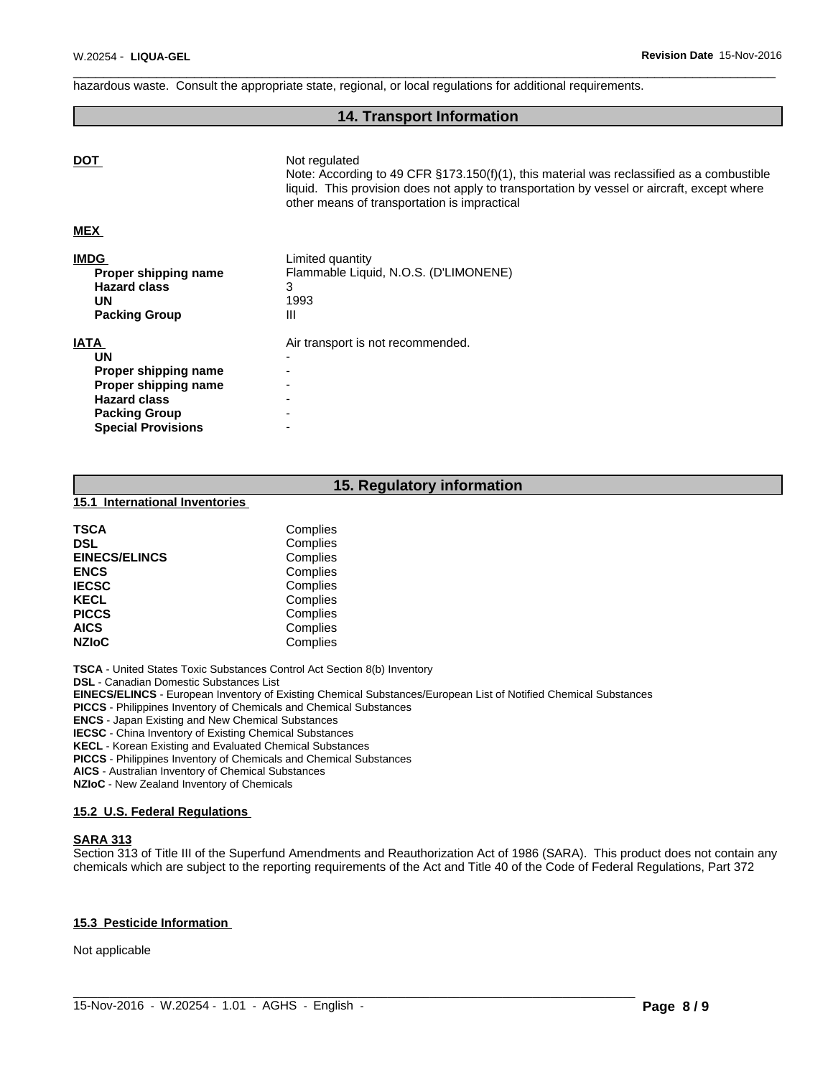hazardous waste. Consult the appropriate state, regional, or local regulations for additional requirements.

# **14. Transport Information**

 $\overline{\phantom{a}}$  ,  $\overline{\phantom{a}}$  ,  $\overline{\phantom{a}}$  ,  $\overline{\phantom{a}}$  ,  $\overline{\phantom{a}}$  ,  $\overline{\phantom{a}}$  ,  $\overline{\phantom{a}}$  ,  $\overline{\phantom{a}}$  ,  $\overline{\phantom{a}}$  ,  $\overline{\phantom{a}}$  ,  $\overline{\phantom{a}}$  ,  $\overline{\phantom{a}}$  ,  $\overline{\phantom{a}}$  ,  $\overline{\phantom{a}}$  ,  $\overline{\phantom{a}}$  ,  $\overline{\phantom{a}}$ 

| <b>DOT</b>           | Not regulated<br>Note: According to 49 CFR $\S173.150(f)(1)$ , this material was reclassified as a combustible                              |
|----------------------|---------------------------------------------------------------------------------------------------------------------------------------------|
|                      | liquid. This provision does not apply to transportation by vessel or aircraft, except where<br>other means of transportation is impractical |
| <b>MEX</b>           |                                                                                                                                             |
| <b>IMDG</b>          | Limited quantity                                                                                                                            |
| Proper shipping name | Flammable Liquid, N.O.S. (D'LIMONENE)                                                                                                       |
| <b>Hazard class</b>  | 3                                                                                                                                           |
| UN                   | 1993                                                                                                                                        |
| <b>Packing Group</b> | Ш                                                                                                                                           |
| <b>IATA</b>          | Air transport is not recommended.                                                                                                           |
| <b>UN</b>            |                                                                                                                                             |
| Proper shipping name | $\overline{\phantom{a}}$                                                                                                                    |
| Proper shipping name |                                                                                                                                             |
| <b>Hazard class</b>  |                                                                                                                                             |

# **15. Regulatory information**

**15.1 International Inventories** 

**Packing Group Special Provisions** 

| <b>TSCA</b>          | Complies |
|----------------------|----------|
| <b>DSL</b>           | Complies |
| <b>EINECS/ELINCS</b> | Complies |
| <b>ENCS</b>          | Complies |
| <b>IECSC</b>         | Complies |
| <b>KECL</b>          | Complies |
| <b>PICCS</b>         | Complies |
| <b>AICS</b>          | Complies |
| <b>NZIOC</b>         | Complies |

**TSCA** - United States Toxic Substances Control Act Section 8(b) Inventory

**DSL** - Canadian Domestic Substances List

**EINECS/ELINCS** - European Inventory of Existing Chemical Substances/European List of Notified Chemical Substances

**PICCS** - Philippines Inventory of Chemicals and Chemical Substances

**ENCS** - Japan Existing and New Chemical Substances

**IECSC** - China Inventory of Existing Chemical Substances

**KECL** - Korean Existing and Evaluated Chemical Substances

**PICCS** - Philippines Inventory of Chemicals and Chemical Substances

**AICS** - Australian Inventory of Chemical Substances

**NZIoC** - New Zealand Inventory of Chemicals

#### **15.2 U.S. Federal Regulations**

#### **SARA 313**

Section 313 of Title III of the Superfund Amendments and Reauthorization Act of 1986 (SARA). This product does not contain any chemicals which are subject to the reporting requirements of the Act and Title 40 of the Code of Federal Regulations, Part 372

 $\_$  ,  $\_$  ,  $\_$  ,  $\_$  ,  $\_$  ,  $\_$  ,  $\_$  ,  $\_$  ,  $\_$  ,  $\_$  ,  $\_$  ,  $\_$  ,  $\_$  ,  $\_$  ,  $\_$  ,  $\_$  ,  $\_$  ,  $\_$  ,  $\_$  ,  $\_$  ,  $\_$  ,  $\_$  ,  $\_$  ,  $\_$  ,  $\_$  ,  $\_$  ,  $\_$  ,  $\_$  ,  $\_$  ,  $\_$  ,  $\_$  ,  $\_$  ,  $\_$  ,  $\_$  ,  $\_$  ,  $\_$  ,  $\_$  ,

#### **15.3 Pesticide Information**

Not applicable